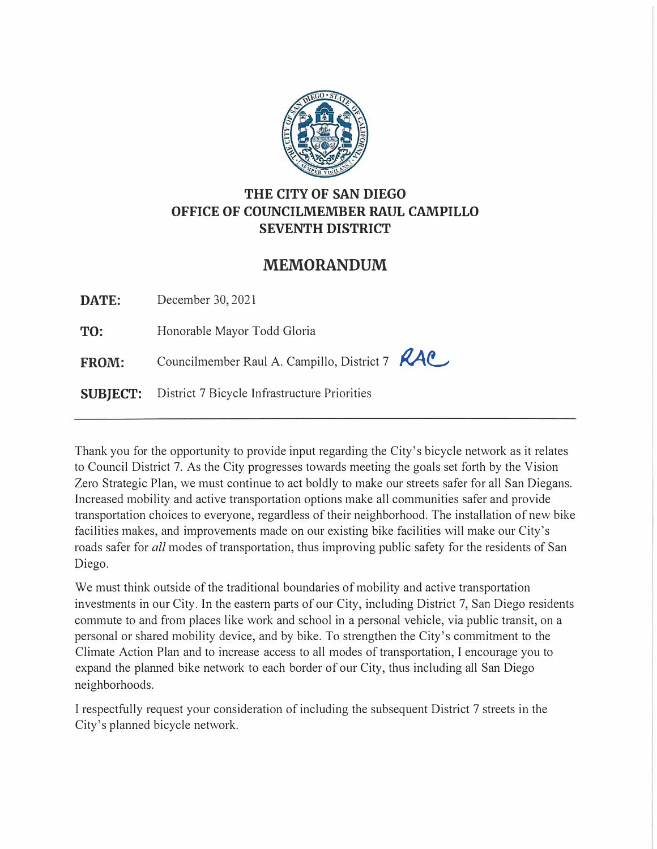

## THE CITY OF SAN DIEGO OFFICE OF COUNCILMEMBER RAUL CAMPILLO SEVENTH DISTRICT

# **MEMORANDUM**

DATE: December 30, 2021

TO: Honorable Mayor Todd Gloria

FROM: Councilmember Raul A. Campillo, District 7 *RAC* 

SUBJECT: District 7 Bicycle Infrastructure Priorities

Thank you for the opportunity to provide input regarding the City's bicycle network as it relates to Council District 7. As the City progresses towards meeting the goals set forth by the Vision Zero Strategic Plan, we must continue to act boldly to make our streets safer for all San Diegans. Increased mobility and active transportation options make all communities safer and provide transportation choices to everyone, regardless of their neighborhood. The installation of new bike facilities makes, and improvements made on our existing bike facilities will make our City's roads safer for *all* modes of transportation, thus improving public safety for the residents of San Diego.

We must think outside of the traditional boundaries of mobility and active transportation investments in our City. In the eastern parts of our City, including District 7, San Diego residents commute to and from places like work and school in a personal vehicle, via public transit, on a personal or shared mobility device, and by bike. To strengthen the City's commitment to the Climate Action Plan and to increase access to all modes of transportation, I encourage you to expand the planned bike network to each border of our City, thus including all San Diego neighborhoods.

I respectfully request your consideration of including the subsequent District 7 streets in the City's planned bicycle network.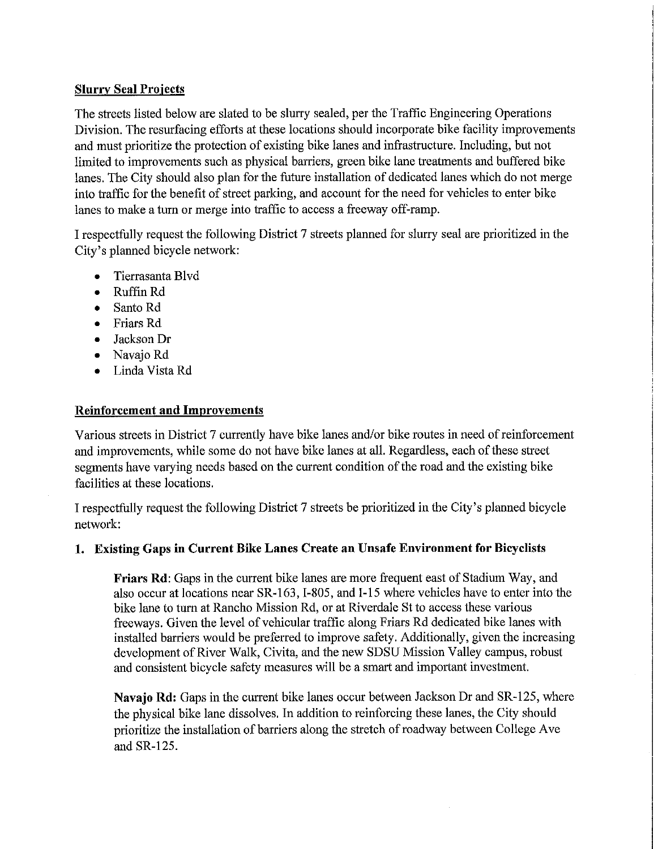### **Slurry Seal Projects**

The streets listed below are slated to be slurry sealed, per the Traffic Engineering Operations Division. The resurfacing efforts at these locations should incorporate bike facility improvements and must prioritize the protection of existing bike lanes and infrastructure. Including, but not limited to improvements such as physical barriers, green bike lane treatments and buffered bike lanes. The City should also plan for the future installation of dedicated lanes which do not merge into traffic for the benefit of street parking, and account for the need for vehicles to enter bike lanes to make a turn or merge into traffic to access a freeway off-ramp.

I respectfully request the following District 7 streets planned for slurry seal are prioritized in the City's planned bicycle network:

- Tierrasanta Blvd
- Ruffin Rd
- Santo Rd
- Friars Rd
- Jackson Dr
- Navajo Rd
- Linda Vista Rd

### **Reinforcement and Improvements**

Various streets in District 7 currently have bike lanes and/or bike routes in need of reinforcement and improvements, while some do not have bike lanes at all. Regardless, each of these street segments have varying needs based on the current condition of the road and the existing bike facilities at these locations.

I respectfully request the following District 7 streets be prioritized in the City's planned bicycle network:

### 1. Existing Gaps in Current Bike Lanes Create an Unsafe Environment for Bicyclists

Friars Rd: Gaps in the current bike lanes are more frequent east of Stadium Way, and also occur at locations near SR-163, I-805, and I-15 where vehicles have to enter into the bike lane to turn at Rancho Mission Rd, or at Riverdale St to access these various freeways. Given the level of vehicular traffic along Friars Rd dedicated bike lanes with installed barriers would be preferred to improve safety. Additionally, given the increasing development of River Walk, Civita, and the new SDSU Mission Valley campus, robust and consistent bicycle safety measures will be a smart and important investment.

Navajo Rd: Gaps in the current bike lanes occur between Jackson Dr and SR-125, where the physical bike lane dissolves. In addition to reinforcing these lanes, the City should prioritize the installation of barriers along the stretch of roadway between College Ave and SR-125.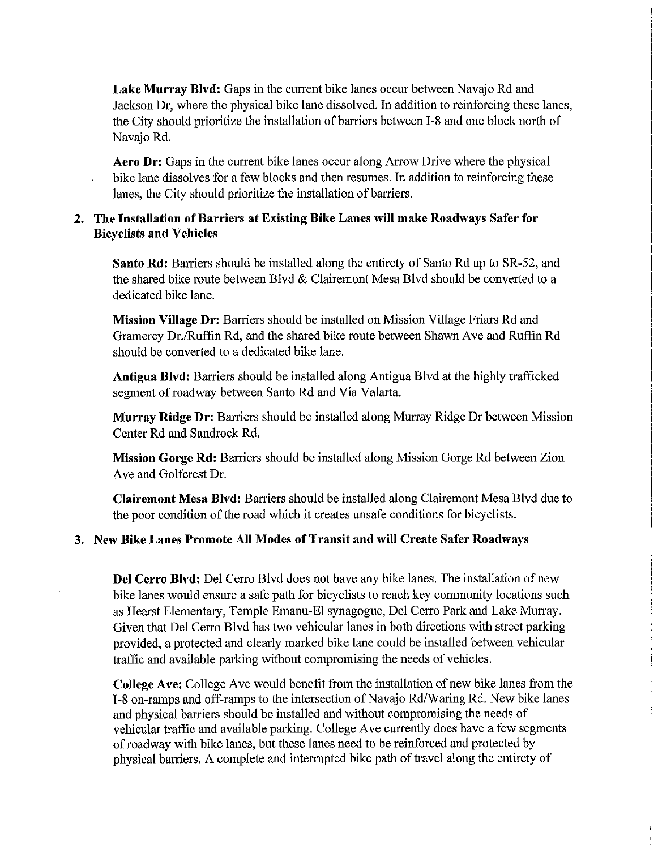Lake Murray Blvd: Gaps in the current bike lanes occur between Navajo Rd and Jackson Dr, where the physical bike lane dissolved. In addition to reinforcing these lanes, the City should prioritize the installation of barriers between I-8 and one block north of Navajo Rd.

**Aero Dr:** Gaps in the current bike lanes occur along Arrow Drive where the physical bike lane dissolves for a few blocks and then resumes. In addition to reinforcing these lanes, the City should prioritize the installation of barriers.

#### 2. The Installation of Barriers at Existing Bike Lanes will make Roadways Safer for **Bicyclists and Vehicles**

Santo Rd: Barriers should be installed along the entirety of Santo Rd up to SR-52, and the shared bike route between Blvd & Clairemont Mesa Blvd should be converted to a dedicated bike lane.

Mission Village Dr: Barriers should be installed on Mission Village Friars Rd and Gramercy Dr./Ruffin Rd, and the shared bike route between Shawn Ave and Ruffin Rd should be converted to a dedicated bike lane.

**Antigua Blyd:** Barriers should be installed along Antigua Blyd at the highly trafficked segment of roadway between Santo Rd and Via Valarta.

**Murray Ridge Dr:** Barriers should be installed along Murray Ridge Dr between Mission Center Rd and Sandrock Rd.

Mission Gorge Rd: Barriers should be installed along Mission Gorge Rd between Zion Ave and Golfcrest Dr.

**Clairemont Mesa Blyd:** Barriers should be installed along Clairemont Mesa Blyd due to the poor condition of the road which it creates unsafe conditions for bicyclists.

#### 3. New Bike Lanes Promote All Modes of Transit and will Create Safer Roadways

Del Cerro Blvd: Del Cerro Blvd does not have any bike lanes. The installation of new bike lanes would ensure a safe path for bicyclists to reach key community locations such as Hearst Elementary, Temple Emanu-El synagogue, Del Cerro Park and Lake Murray. Given that Del Cerro Blvd has two vehicular lanes in both directions with street parking provided, a protected and clearly marked bike lane could be installed between vehicular traffic and available parking without compromising the needs of vehicles.

**College Ave:** College Ave would benefit from the installation of new bike lanes from the I-8 on-ramps and off-ramps to the intersection of Navajo Rd/Waring Rd. New bike lanes and physical barriers should be installed and without compromising the needs of vehicular traffic and available parking. College Ave currently does have a few segments of roadway with bike lanes, but these lanes need to be reinforced and protected by physical barriers. A complete and interrupted bike path of travel along the entirety of